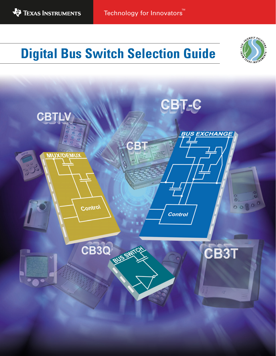

Technology for Innovators

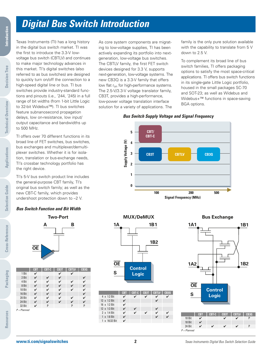# **Digital Bus Switch Introduction**

Texas Instruments (TI) has a long history in the digital bus switch market. TI was the first to introduce the 3.3-V lowvoltage bus switch (CBTLV) and continues to make major technology advances in this market. TI's digital switches (also referred to as bus switches) are designed to quickly turn on/off the connection to a high-speed digital line or bus. TI bus switches provide industry-standard functions and pinouts (i.e., '244, '245) in a full range of bit widths (from 1-bit Little Logic to 32-bit Widebus™). TI bus switches feature subnanosecond propagation delays, low on-resistance, low input/ output capacitance and bandwidths up to 500 MHz.

TI offers over 70 different functions in its broad line of FET switches, bus switches, bus exchanges and multiplexer/demultiplexer switches. Whether it is for isolation, translation or bus-exchange needs, TI's crossbar technology portfolio has the right device.

TI's 5-V bus switch product line includes the general-purpose CBT family, TI's original bus switch family; as well as the new CBT-C family, which provides

### **Bus Switch Function and Bit Width**



|             | <b>CBT</b> | <b>CBT-C</b> | CB3T | <b>CBTLV</b> | <b>CB30</b> |
|-------------|------------|--------------|------|--------------|-------------|
| 1 Bit       | V          |              | ✓    | ✓            |             |
| 2 Bit       | ✓          | ✓            | ✓    |              | ✓           |
| 4 Bit       | ✓          | ✓            | ✓    | ✓            | ✓           |
| 8 Bit       | ✓          | ✓            | ✓    | ✓            | ✓           |
| 10 Bit      | ✓          | ✓            | ✓    | ✓            | ✓           |
| 16 Bit      | ✓          | ✓            | ✓    |              | ✓           |
| 20 Bit      | ✓          | ✓            | ✓    | ✓            | ✓           |
| 24 Bit      | ✓          | ✓            | ✓    | ✓            | ✓           |
| 32 Bit      | V          | P            |      | P            | P           |
| P = Planned |            |              |      |              |             |

As core system components are migrating to low-voltage supplies, TI has been actively expanding its portfolio into nextgeneration, low-voltage bus switches. The CBTLV family, the first FET switch devices designed for 3.3 V, supports next-generation, low-voltage systems. The new CB3Q is a 3.3-V family that offers low flat r<sub>on</sub> for high-performance systems. The 2.5-V/3.3-V voltage translator family, CB3T, provides a high-performance, low-power voltage translation interface solution for a variety of applications. The

family is the only pure solution available with the capability to translate from 5 V down to 2.5 V.

To complement its broad line of bus switch families, TI offers packaging options to satisfy the most space-critical applications. TI offers bus switch functions in its single-gate Little Logic portfolio, housed in the small packages SC-70 and SOT-23; as well as Widebus and Widebus+<sup>™</sup> functions in space-saving BGA options.

### **Bus Switch Supply Voltage and Signal Frequency**



**1 1B MUX/DeMUX**

> **Control Logic**

**Bus Exchange**



**Cross-Reference**

**Cross-Reference** 

**Packaging**

4 x 1:2 Bit  $12 \times 1:2$  Bit 16 x 1:2 Bit 12 x 1:3 Bit  $\checkmark$  $2 \times 1:4$  Bit  $\checkmark$  $1 \times 1:8$  Bit  $\checkmark$ 1 x 16:32 Bit

**OE**

**S**

**1A**

**CBT CBT-C CB3T CBTLV CB3Q**

**1B2**

24 Bit **V V V** P

 $P =$ Planned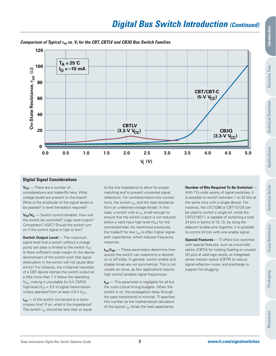

**Comparison of Typical ron vs. V<sup>I</sup> for the CBT, CBTLV and CB3Q Bus Switch Families**

### **Digital Signal Considerations**

**V<sub>CC</sub>** — There are a number of considerations and tradeoffs here. What voltage levels are present on the board? What is the amplitude of the signal levels to be passed? Is level translation required?

**VIH/VIL** — Switch control (enable). How will the switch be controlled? Logic level output? Comparator? ASIC? Should the switch turn on if the control signal is high or low?

**Switch Output Level** — The maximum signal level that a switch without a charge pump can pass is limited to the switch  $V_{CC}$ . Is there sufficient noise margin on the device downstream of the switch such that signal attenuation in the switch will not cause data errors? For instance, the n-channel transistor of a CBT device clamps the switch output at a little more than 1 V below the operating V<sub>CC</sub>, making it unsuitable for 5-V CMOS high-level ( $V_{\text{IH}}$  = 3.5 V) signal transmission unless operated from at least 4.5-V  $V_{CC}$ .

 $r_{on}$  — Is the switch connected to a transmission line? If so, what is the impedance? The switch  $r_{on}$  should be less than or equal to the line impedance to allow for proper matching and to prevent unwanted signal reflections. For nontransmission-line connections, the switch  $r_{on}$  and the load resistance form an undesired voltage divider. In this case, a switch with a  $r_{on}$  small enough to ensure that the switch output is not reduced below a valid input high level  $(V_{H})$  for the connected load. As mentioned previously, the tradeoff for low  $r_{on}$  is often higher signalpath capacitance, which reduces frequency response.

 $t_{en}/t_{dis}$  — These parameters determine how quickly the switch can respond to a desired on or off state. In general, switch enable and disable times are not symmetrical. This is not usually an issue, as few applications require high control (enable) signal frequencies.

 $t_{pd}$  – This parameter is negligible for all but the most critical timing budgets. When the switch is on, the propagation delay through the pass transistor(s) is minimal. TI specifies this number as the mathematical calculation of the typical  $r_{on}$  times the load capacitance.

**Number of Bits Required To Be Switched** —

With TI's wide variety of signal switches, it is possible to switch between 1 to 32 bits at the same time with a single device. For instance, the LVC1G66 or CBT1G125 can be used to switch a single bit, while the CBTLV16211 is capable of switching a total 24 bits in banks of 12. Or, by tying the adjacent enable pins together, it is possible to control 24 bits with one enable signal.

**Special Features** — TI offers bus switches with special features, such as a bus-hold option (CBTH) for holding floating or unused I/O pins at valid logic levels; an integrated series resistor option (CBTR) to reduce signal-reflection noise; and precharge to support hot plugging.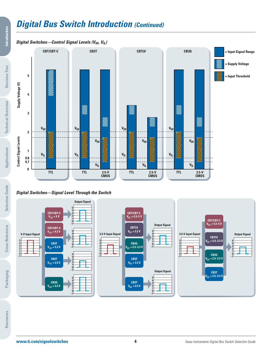# **Digital Bus Switch Introduction (Continued)**

### *Digital Switches—Control Signal Levels* **(** $V_{IH}$ **,**  $V_{IL}$ **)**



### **Digital Switches—Signal Level Through the Switch**



**Cross-Reference**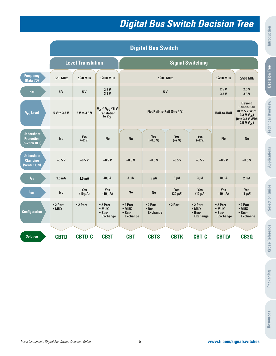# **Digital Bus Switch Decision Tree**

|                                                        |                           |                          |                                                                     |                                                       | <b>Digital Bus Switch</b>            |                             |                                                          |                                                       |                                                                                                                           |
|--------------------------------------------------------|---------------------------|--------------------------|---------------------------------------------------------------------|-------------------------------------------------------|--------------------------------------|-----------------------------|----------------------------------------------------------|-------------------------------------------------------|---------------------------------------------------------------------------------------------------------------------------|
|                                                        |                           | <b>Level Translation</b> |                                                                     |                                                       |                                      |                             | <b>Signal Switching</b>                                  |                                                       |                                                                                                                           |
| <b>Frequency</b><br>(Data I/O)                         | $\leq$ 10 MHz             | $\leq$ 20 MHz            | $\leq$ 100 MHz                                                      |                                                       |                                      | $\leq$ 200 MHz              |                                                          | $\leq$ 200 MHz                                        | $\leq$ 500 MHz                                                                                                            |
| $V_{\rm CC}$                                           | 5V                        | <b>5V</b>                | 2.5V<br>3.3V                                                        |                                                       |                                      | <b>5 V</b>                  |                                                          | 2.5V<br>3.3V                                          | 2.5V<br>3.3V                                                                                                              |
| $V_{1/0}$ Level                                        | 5 V to 3.3 V              | 5 V to 3.3 V             | $V_{CC} \leq V_{1/0} \leq 5-V$<br><b>Translation</b><br>to $V_{CC}$ |                                                       |                                      | Not Rail-to-Rail (0 to 4 V) |                                                          | <b>Rail-to-Rail</b>                                   | <b>Beyond</b><br><b>Rail-to-Rail</b><br>(0 to 5 V With<br>3.3-V $V_{\text{CC}}$ )<br>(0 to 3.3 V With<br>2.5-V $V_{CC}$ ) |
| <b>Undershoot</b><br><b>Protection</b><br>(Switch OFF) | <b>No</b>                 | Yes<br>$(-2 V)$          | <b>No</b>                                                           | <b>No</b>                                             | <b>Yes</b><br>$(-0.5 V)$             | Yes<br>$(-2 V)$             | <b>Yes</b><br>$(-2 V)$                                   | <b>No</b>                                             | <b>No</b>                                                                                                                 |
| <b>Undershoot</b><br><b>Clamping</b><br>(Switch ON)    | $-0.5V$                   | $-0.5V$                  | $-0.5V$                                                             | $-0.5V$                                               | $-0.5V$                              | $-0.5V$                     | $-0.5V$                                                  | $-0.5V$                                               | $-0.5V$                                                                                                                   |
| $I_{cc}$                                               | 1.5 <sub>m</sub> A        | 1.5 <sub>m</sub> A       | $40 \mu A$                                                          | $3 \mu A$                                             | $3 \mu A$                            | $3 \mu A$                   | $3 \mu A$                                                | $10 \mu A$                                            | 2 <sub>m</sub> A                                                                                                          |
| $I_{OFF}$                                              | <b>No</b>                 | Yes<br>$(10 \mu A)$      | <b>Yes</b><br>$(10 \mu A)$                                          | <b>No</b>                                             | <b>No</b>                            | <b>Yes</b><br>$(20 \mu A)$  | <b>Yes</b><br>$(10 \mu A)$                               | <b>Yes</b><br>$(10 \mu A)$                            | <b>Yes</b><br>$(1 \mu A)$                                                                                                 |
| <b>Configuration</b>                                   | • 2 Port<br>$\bullet$ MUX | •2 Port                  | • 2 Port<br>$\bullet$ MUX<br>• Bus-<br><b>Exchange</b>              | •2 Port<br>$\bullet$ MUX<br>• Bus-<br><b>Exchange</b> | •2 Port<br>• Bus-<br><b>Exchange</b> | •2 Port                     | $• 2$ Port<br>$\bullet$ MUX<br>• Bus-<br><b>Exchange</b> | •2 Port<br>$\bullet$ MUX<br>• Bus-<br><b>Exchange</b> | • 2 Port<br>$\bullet$ MUX<br>$\bullet$ Bus-<br><b>Exchange</b>                                                            |
| <b>Solution</b>                                        | <b>CBTD</b>               | <b>CBTD-C</b>            | CB3T                                                                | <b>CBT</b>                                            | <b>CBTS</b>                          | <b>CBTK</b>                 | <b>CBT-C</b>                                             | <b>CBTLV</b>                                          | <b>CB30</b>                                                                                                               |

**Decision Tree**

**Decision Tree**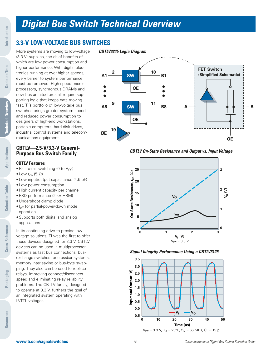# **Digital Bus Switch Technical Overview**

# **3.3-V LOW-VOLTAGE BUS SWITCHES**

More systems are moving to low-voltage (3.3-V) supplies, the chief benefits of which are low power consumption and higher performance. With digital electronics running at ever-higher speeds, every barrier to system performance must be removed. High-speed microprocessors, synchronous DRAMs and new bus architectures all require supporting logic that keeps data moving fast. TI's portfolio of low-voltage bus switches brings greater system speed and reduced power consumption to designers of high-end workstations, portable computers, hard disk drives, industrial control systems and telecommunications equipment.

### **CBTLV—2.5-V/3.3-V General-Purpose Bus Switch Family**

### **CBTLV Features**

- Rail-to-rail switching (0 to  $V_{CC}$ )
- Low  $r_{\text{on}}$  (5  $\Omega$ )
- Low input/output capacitance (4.5 pF)
- Low power consumption
- High current capacity per channel
- ESD performance (2-kV HBM)
- Undershoot clamp diode
- $\bullet$   $I_{off}$  for partial-power-down mode operation
- Supports both digital and analog applications

In its continuing drive to provide lowvoltage solutions, TI was the first to offer these devices designed for 3.3 V. CBTLV devices can be used in multiprocessor systems as fast bus connections, busexchange switches for crossbar systems, memory interleaving or bus-byte swapping. They also can be used to replace relays, improving connect/disconnect speed and eliminating relay reliability problems. The CBTLV family, designed to operate at 3.3 V, furthers the goal of an integrated system operating with LVTTL voltages.

### **CBTLV3245 Logic Diagram**



**CBTLV On-State Resistance and Output vs. Input Voltage**



### **Signal Integrity Performance Using a CBTLV3125**



**Decision Tree**

**Decision Tree** 

**Selection Guide**

**Selection Guide** 

**Cross-Reference**

Cross-Reference

**Packaging**

**Resources**

Resources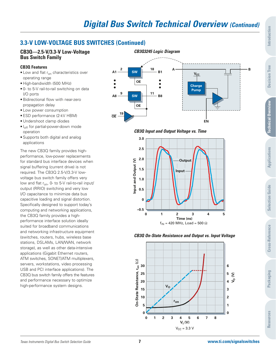# **3.3-V LOW-VOLTAGE BUS SWITCHES (Continued)**

# **Bus Switch Family**

### **CB3Q Features**

- Low and flat r<sub>on</sub> characteristics over operating range
- High-bandwidth (500 MHz)
- 0- to 5-V rail-to-rail switching on data I/O ports
- Bidirectional flow with near-zero propagation delay
- Low power consumption
- ESD performance (2-kV HBM)
- Undershoot clamp diodes
- $\bullet$   $I_{off}$  for partial-power-down mode operation
- Supports both digital and analog applications

The new CB3Q family provides highperformance, low-power replacements for standard bus interface devices when signal buffering (current drive) is not required. The CB3Q 2.5-V/3.3-V lowvoltage bus switch family offers very low and flat  $r_{on}$ , 0- to 5-V rail-to-rail input/ output (RRIO) switching and very low I/O capacitance to minimize data bus capacitive loading and signal distortion. Specifically designed to support today's computing and networking applications, the CB3Q family provides a highperformance interface solution ideally suited for broadband communications and networking infrastructure equipment (switches, routers, hubs, wireless base stations, DSLAMs, LAN/WAN, network storage), as well as other data-intensive applications (Gigabit Ethernet routers, ATM switches, SONET/ATM multiplexers, servers, workstations, video processing USB and PCI interface applications). The CB3Q bus switch family offers the features and performance necessary to optimize high-performance system designs.



### **CB3Q Input and Output Voltage vs. Time**



### **CB3Q On-State Resistance and Output vs. Input Voltage**

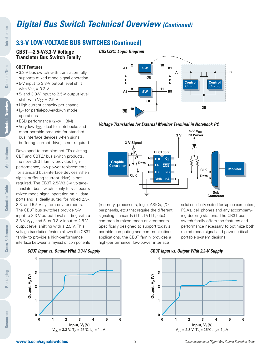# **3.3-V LOW-VOLTAGE BUS SWITCHES (Continued)**

### **CB3T—2.5-V/3.3-V Voltage Translator Bus Switch Family**

### **CB3T Features**

- 3.3-V bus switch with translation fully supports mixed-mode signal operation
- 5-V input to 3.3-V output level shift with  $V_{CC}$  = 3.3 V
- 5- and 3.3-V input to 2.5-V output level shift with  $V_{CC} = 2.5$  V
- High current capacity per channel
- $\bullet$   $I_{\text{off}}$  for partial-power-down mode operations
- ESD performance (2-kV HBM)
- Very low  $I_{CC}$ , ideal for notebooks and other portable products for standard bus interface devices when signal buffering (current drive) is not required

Developed to complement TI's existing CBT and CBTLV bus switch products, the new CB3T family provides highperformance, low-power replacements for standard bus-interface devices when signal buffering (current drive) is not required. The CB3T 2.5-V/3.3-V voltagetranslator bus switch family fully supports mixed-mode signal operation on all data ports and is ideally suited for mixed 2.5-, 3.3- and 5.5-V system environments. The CB3T bus switches provide 5-V input to 3.3-V output level shifting with a 3.3-V  $V_{CC}$ , and 5- or 3.3-V input to 2.5-V output level shifting with a 2.5 V. This voltage-translation feature allows the CB3T family to provide a high-performance interface between a myriad of components



**Voltage Translation for External Monitor Terminal in Notebook PC**



(memory, processors, logic, ASICs, I/O peripherals, etc.) that require the different signaling standards (TTL, LVTTL, etc.) common in mixed-mode environments. Specifically designed to support today's portable computing and communications applications, the CB3T family provides a high-performance, low-power interface

solution ideally suited for laptop computers, PDAs, cell phones and any accompanying docking stations. The CB3T bus switch family offers the features and performance necessary to optimize both mixed-mode-signal and power-critical portable system designs.





#### **CB3T Input vs. Output With 2.3-V Supply**



**Introduction**

Introduction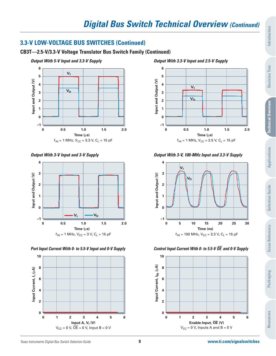# **3.3-V LOW-VOLTAGE BUS SWITCHES (Continued)**

## **CB3T—2.5-V/3.3-V Voltage Translator Bus Switch Family (Continued)**







**6 5** Input and Output (V) **Input and Output (V) 4 VI 3**  $\overline{\mathsf{v}_{\mathsf{0}}}$ **2 1 0 –1 0 0.5 1.0 1.5 2.0 Time (**µ**s)**  $f_{IN} = 1$  MHz,  $V_{CC} = 2.5$  V,  $C_L = 15$  pF

**Output With 3.3-V Input and 2.5-V Supply**

## **Output With 3-V Input and 3-V Supply Output With 3-V, 100-MHz Input and 3.3-V Supply**



## **Port Input Current With 0- to 5.5-V Input and 0-V Supply Control Input Current With 0- to 5.5-V OE** and 0-V Supply

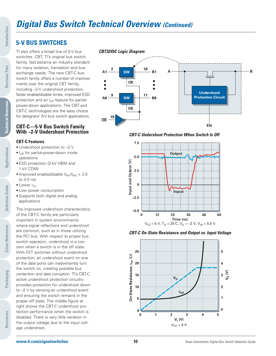# **Digital Bus Switch Technical Overview (Continued)**

# **5-V BUS SWITCHES**

TI also offers a broad line of 5-V bus switches. CBT, TI's original bus switch family, fast became an industry standard for many isolation, translation and busexchange needs. The new CBT-C bus switch family offers a number of improvements over the original CBT family, including –2-V undershoot protection, faster enable/disable times, improved ESD protection and an I<sub>off</sub> feature for partialpower-down applications. The CBT and CBT-C technologies are the easy choice for designers' 5-V bus switch applications.

### **CBT-C—5-V Bus Switch Family With –2-V Undershoot Protection**

### **CBT-C Features**

- Undershoot protection to –2 V
- I<sub>off</sub> for partial-power-down mode operations
- ESD protection (2-kV HBM and 1-kV CDM)
- Improved enable/disable  $(t_{en}/t_{dis} = 3.5)$ to 4.0 ns)
- $\bullet$  Lower  $r_{\text{on}}$
- Low power consumption
- Supports both digital and analog applications

The improved undershoot characteristics of the CBT-C family are particularly important in system environments where signal reflections and undershoot are common, such as in those utilizing the PCI bus. With respect to proper bus switch operation, undershoot is a concern when a switch is in the off state. With FET switches without undershoot protection, an undershoot event on one of the data ports can inadvertently turn the switch on, creating possible bus contention and data corruption. TI's CBT-C active undershoot protection circuitry provides protection for undershoot down to –2 V by sensing an undershoot event and ensuring the switch remains in the proper off state. The middle figure at right shows the CBT-C undershoot protection performance when the switch is disabled. There is very little variation in the output voltage due to the input voltage undershoot.



**CBT-C Undershoot Protection When Switch Is Off**







**Applications**

**Applications** 

**Decision Tree**

**Decision Tree** 

**Packaging**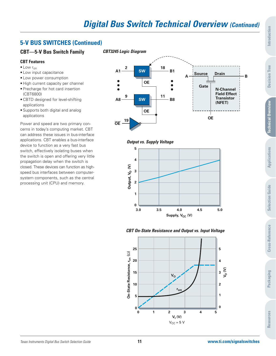## **5-V BUS SWITCHES (Continued)**

### **CBT—5-V Bus Switch Family**

### **CBT Features**

- $\bullet$  Low  $r_{\text{on}}$
- Low input capacitance
- Low power consumption
- High current capacity per channel
- Precharge for hot card insertion (CBT6800)
- CBTD designed for level-shifting applications
- Supports both digital and analog applications

Power and speed are two primary concerns in today's computing market. CBT can address these issues in bus-interface applications. CBT enables a bus-interface device to function as a very fast bus switch, effectively isolating buses when the switch is open and offering very little propagation delay when the switch is closed. These devices can function as highspeed bus interfaces between computersystem components, such as the central processing unit (CPU) and memory.



**Output vs. Supply Voltage**



### **CBT On-State Resistance and Output vs. Input Voltage**

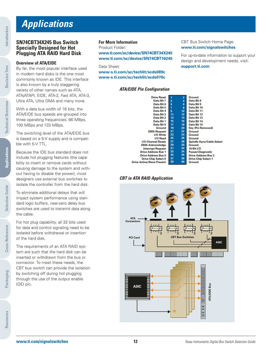# **Applications**

### **SN74CBT34X245 Bus Switch Specially Designed for Hot Plugging ATA RAID Hard Disk**

### **Overview of ATA/EIDE**

By far, the most popular interface used in modern hard disks is the one most commonly known as IDE. This interface is also known by a truly staggering variety of other names such as ATA, ATA/ATAPI, EIDE, ATA-2, Fast ATA, ATA-3, Ultra ATA, Ultra DMA and many more.

With a data bus width of 16 bits, the ATA/EIDE bus speeds are grouped into three operating frequencies: 66 MBps, 100 MBps and 133 MBps.

The switching level of the ATA/EIDE bus is based on a 5-V supply and is compatible with 5-V TTL.

Because the IDE bus standard does not include hot plugging features (the capability to insert or remove cards without causing damage to the system and without having to disable the power), most designers use external bus switches to isolate the controller from the hard disk.

To eliminate additional delays that will impact system performance using standard logic buffers, near-zero delay bus switches are used to transmit data along the cable.

For hot plug capability, all 32 bits used for data and control signaling need to be isolated before withdrawal or insertion of the hard disk.

The requirements of an ATA RAID system are such that the hard disk can be inserted or withdrawn from the bus or connector. To meet these needs, the CBT bus switch can provide the isolation by switching off during hot plugging through the use of the output enable (OE) pin.

### **For More Information**

Product Folder: **www.ti.com/sc/device/SN74CBT34X245**

Data Sheet: **www-s.ti.com/sc/techlit/scds089c www-s.ti.com/sc/techlit/scds070c**

**www.ti.com/sc/device/SN74CBT16245**

### **ATA/EIDE Pin Configuration**

### CBT Bus Switch Home Page: **www.ti.com/signalswitches**

For up-to-date information to support your design and development needs, visit: **support.ti.com**

Select

| <b>Drive Reset</b>                | 1  | $\overline{2}$  | Ground                     |
|-----------------------------------|----|-----------------|----------------------------|
| Data Bit 7                        | 3  | 4               | Data Bit 8                 |
| Data Bit 6                        | 5  | 6               | Data Bit 9                 |
| Data Bit 5                        | 7  | 8               | Data Bit 10                |
| Data Bit 4                        | 9  | 10 <sup>°</sup> | Data Bit 11                |
| Data Bit 3                        | 11 | 12 <sup>°</sup> | Data Bit 12                |
| Data Bit 2                        | 13 | 14              | Data Bit 13                |
| Data Bit 1                        | 15 | 16              | Data Bit 14                |
| Data Bit 0                        | 17 | 18              | Data Bit 15                |
| Ground                            | 19 | 20              | Key (Pin Removed)          |
| <b>DMA Request</b>                | 21 | 22              | Ground                     |
| I/O Write                         | 23 | 24              | Ground                     |
| I/O Read                          | 25 | 26              | Ground                     |
| I/O Channel Ready                 | 27 | 28              | <b>Spindle Sync/Cable</b>  |
| <b>DMA Acknowledge</b>            | 29 | 30              | Ground                     |
| <b>Interrupt Request</b>          | 31 | 32              | 16-Bit I/O                 |
| <b>Drive Address Bus 1</b>        | 33 | 34              | <b>Passed Diagnostic</b>   |
| Drive Address Bus 0               | 35 | 36              | <b>Drive Address Bus 2</b> |
| Drive Chip Select 0               | 37 | 38              | <b>Drive Chip Select 1</b> |
| <b>Drive Active/Slave Present</b> | 39 | 40              | Ground                     |
|                                   |    |                 |                            |

### **CBT in ATA RAID Application**



**Cross-Reference**

**Cross-Reference**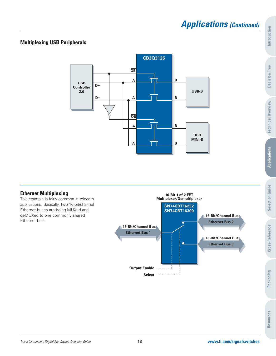# **Applications (Continued)**

# **Multiplexing USB Peripherals**



## **Ethernet Multiplexing**

This example is fairly common in telecom applications. Basically, two 16-bit/channel Ethernet buses are being MUXed and deMUXed to one commonly shared Ethernet bus.

**16-Bit/Channel Bus Ethernet Bus 1 Select Output Enable Multiplexer/Demultiplexer 16-Bit/Channel Bus 16-Bit/Channel Bus SN74CBT16232 SN74CBT16390 Ethernet Bus 3 Ethernet Bus 2**

**16-Bit 1-of-2 FET**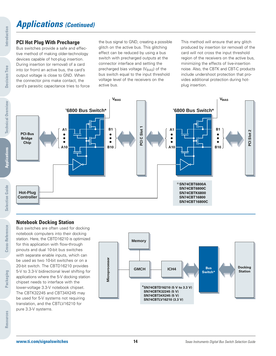### **PCI Hot Plug With Precharge**

Bus switches provide a safe and effective method of making older-technology devices capable of hot-plug insertion. During insertion (or removal) of a card into (or from) an active bus, the card's output voltage is close to GND. When the connector pins make contact, the card's parasitic capacitance tries to force the bus signal to GND, creating a possible glitch on the active bus. This glitching effect can be reduced by using a bus switch with precharged outputs at the connector interface and setting the precharged bias voltage ( $V_{B|AS}$ ) of the bus switch equal to the input threshold voltage level of the receivers on the active bus.

This method will ensure that any glitch produced by insertion (or removal) of the card will not cross the input threshold region of the receivers on the active bus, minimizing the effects of live-insertion noise. Also, the CBTK and CBT-C products include undershoot protection that provides additional protection during hotplug insertion.



### **Notebook Docking Station**

Bus switches are often used for docking notebook computers into their docking station. Here, the CBTD16210 is optimized for this application with flow-through pinouts and dual 10-bit bus switches with separate enable inputs, which can be used as two 10-bit switches or on a 20-bit switch. The CBTD16210 provides 5-V to 3.3-V bidirectional level shifting for applications where the 5-V docking station chipset needs to interface with the lower-voltage 3.3-V notebook chipset. The CBTK32245 and CBT34X245 may be used for 5-V systems not requiring translation, and the CBTLV16210 for pure 3.3-V systems.



**Cross-Reference**

Cross-Reference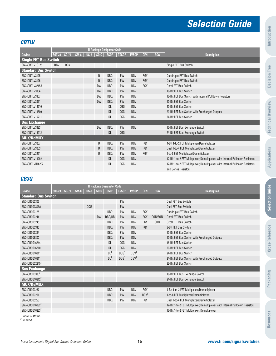# **Selection Guide**

### **CBTLV**

|                              |     |            |                       |                 | <b>TI Package Designator Code</b> |           |                      |            |            |                                                                              |
|------------------------------|-----|------------|-----------------------|-----------------|-----------------------------------|-----------|----------------------|------------|------------|------------------------------------------------------------------------------|
| <b>Device</b>                |     |            | SOT-23   SC-70   SM-8 | $US-8$ $ $ SOIC |                                   |           | SSOP   TSSOP   TVSOP | <b>QFN</b> | <b>BGA</b> | <b>Description</b>                                                           |
| <b>Single FET Bus Switch</b> |     |            |                       |                 |                                   |           |                      |            |            |                                                                              |
| SN74CBTLV1G125               | DBV | <b>DCK</b> |                       |                 |                                   |           |                      |            |            | Single FET Bus Switch                                                        |
| <b>Standard Bus Switch</b>   |     |            |                       |                 |                                   |           |                      |            |            |                                                                              |
| SN74CBTLV3125                |     |            |                       | D               | DB <sub>0</sub>                   | PW        | DGV                  | <b>RGY</b> |            | Quadruple FET Bus Switch                                                     |
| SN74CBTLV3126                |     |            |                       | D               | DB <sub>0</sub>                   | <b>PW</b> | <b>DGV</b>           | <b>RGY</b> |            | Quadruple FET Bus Switch                                                     |
| SN74CBTLV3245A               |     |            |                       | <b>DW</b>       | <b>DBQ</b>                        | <b>PW</b> | DGV                  | <b>RGY</b> |            | Octal FET Bus Switch                                                         |
| SN74CBTLV3384                |     |            |                       | <b>DW</b>       | <b>DBQ</b>                        | <b>PW</b> | <b>DGV</b>           |            |            | 10-Bit FET Bus Switch                                                        |
| SN74CBTLV3857                |     |            |                       | <b>DW</b>       | D <sub>RO</sub>                   | PW        | DGV                  |            |            | 10-Bit FET Bus Switch with Internal Pulldown Resistors                       |
| SN74CBTLV3861                |     |            |                       | <b>DW</b>       | <b>DBQ</b>                        | <b>PW</b> | DGV                  |            |            | 10-Bit FET Bus Switch                                                        |
| SN74CBTLV16210               |     |            |                       |                 | <b>DL</b>                         | DGG       | DGV                  |            |            | 20-Bit FET Bus Switch                                                        |
| SN74CBTLV16800               |     |            |                       |                 | <b>DL</b>                         | DGG       | <b>DGV</b>           |            |            | 20-Bit FET Bus Switch with Precharged Outputs                                |
| SN74CBTLV16211               |     |            |                       |                 | <b>DL</b>                         | DGG       | DGV                  |            |            | 24-Bit FET Bus Switch                                                        |
| <b>Bus Exchange</b>          |     |            |                       |                 |                                   |           |                      |            |            |                                                                              |
| SN74CBTLV3383                |     |            |                       | <b>DW</b>       | DB <sub>Q</sub>                   | PW        | DGV                  |            |            | 10-Bit FET Bus-Exchange Switch                                               |
| SN74CBTLV16212               |     |            |                       |                 | <b>DL</b>                         | DGG       |                      |            |            | 24-Bit FET Bus-Exchange Switch                                               |
| <b>MUX/DeMUX</b>             |     |            |                       |                 |                                   |           |                      |            |            |                                                                              |
| SN74CBTLV3257                |     |            |                       | D               | <b>DBQ</b>                        | PW        | DGV                  | <b>RGY</b> |            | 4-Bit 1-to-2 FET Multiplexer/Demultiplexer                                   |
| SN74CBTLV3253                |     |            |                       | D               | DB <sub>0</sub>                   | <b>PW</b> | DGV                  | <b>RGY</b> |            | Dual 1-to-4 FET Multiplexer/Demultiplexer                                    |
| SN74CBTLV3251                |     |            |                       | D               | DB <sub>0</sub>                   | PW        | DGV                  | <b>RGY</b> |            | 1-to-8 FET Multiplexer/Demultiplexer                                         |
| SN74CBTLV16292               |     |            |                       |                 | <b>DL</b>                         | DGG       | DGV                  |            |            | 12-Bit 1-to-2 FET Multiplexer/Demultiplexer with Internal Pulldown Resistors |
| SN74CBTLVR16292              |     |            |                       |                 | <b>DL</b>                         | DGG       | DGV                  |            |            | 12-Bit 1-to-2 FET Multiplexer/Demultiplexer with Internal Pulldown Resistors |
|                              |     |            |                       |                 |                                   |           |                      |            |            | and Series Resistors                                                         |

## **CB3Q**

|                                                       |                       |  |            |           | <b>TI Package Designator Code</b> |                  |                  |                  |            |                                                                              |
|-------------------------------------------------------|-----------------------|--|------------|-----------|-----------------------------------|------------------|------------------|------------------|------------|------------------------------------------------------------------------------|
| <b>Device</b>                                         | SOT-23   SC-70   SM-8 |  |            |           | US-8 SOIC SSOP TSSOP TVSOP QFN    |                  |                  |                  | <b>BGA</b> | <b>Description</b>                                                           |
| <b>Standard Bus Switch</b>                            |                       |  |            |           |                                   |                  |                  |                  |            |                                                                              |
| SN74CB303305                                          |                       |  |            |           |                                   | <b>PW</b>        |                  |                  |            | Dual FET Bus Switch                                                          |
| SN74CB303306A                                         |                       |  | <b>DCU</b> |           |                                   | <b>PW</b>        |                  |                  |            | Dual FET Bus Switch                                                          |
| SN74CB303125                                          |                       |  |            |           | D <sub>RO</sub>                   | <b>PW</b>        | DGV              | <b>RGY</b>       |            | Quadruple FET Bus Switch                                                     |
| SN74CB303244                                          |                       |  |            | <b>DW</b> | DBQ/DB                            | <b>PW</b>        | <b>DGV</b>       | <b>RGY</b>       | GQN/ZQN    | <b>Octal FET Bus Switch</b>                                                  |
| SN74CB303245                                          |                       |  |            |           | DB <sub>0</sub>                   | <b>PW</b>        | DGV              | <b>RGY</b>       | GON        | Octal FET Bus Switch                                                         |
| SN74CB303345                                          |                       |  |            |           | DB <sub>0</sub>                   | <b>PW</b>        | <b>DGV</b>       | <b>RGY</b>       |            | 8-Bit FET Bus Switch                                                         |
| SN74CB303384                                          |                       |  |            |           | <b>DBQ</b>                        | <b>PW</b>        | DGV              |                  |            | 10-Bit FET Bus Switch                                                        |
| SN74CB306800                                          |                       |  |            |           | DB <sub>0</sub>                   | <b>PW</b>        | <b>DGV</b>       |                  |            | 10-Bit FET Bus Switch with Precharged Outputs                                |
| SN74CB3016244                                         |                       |  |            |           | <b>DL</b>                         | DGG              | DGV              |                  |            | 16-Bit FET Bus Switch                                                        |
| SN74CB3Q16210                                         |                       |  |            |           | <b>DL</b>                         | <b>DGG</b>       | DGV              |                  |            | 20-Bit FET Bus Switch                                                        |
| SN74CB3Q16211                                         |                       |  |            |           | DL <sup>1</sup>                   | DGG <sup>1</sup> | DGV <sup>1</sup> |                  |            | 24-Bit FET Bus Switch                                                        |
| SN74CB3016811                                         |                       |  |            |           | DL <sup>1</sup>                   | DG <sup>1</sup>  | DGV <sup>1</sup> |                  |            | 24-Bit FET Bus Switch with Precharged Outputs                                |
| SN74CB3032245 <sup>2</sup>                            |                       |  |            |           |                                   |                  |                  |                  |            | 32-Bit FET Bus Switch                                                        |
| <b>Bus Exchange</b>                                   |                       |  |            |           |                                   |                  |                  |                  |            |                                                                              |
| SN74CB3033832                                         |                       |  |            |           |                                   |                  |                  |                  |            | 10-Bit FET Bus-Exchange Switch                                               |
| SN74CB3Q16212 <sup>2</sup>                            |                       |  |            |           |                                   |                  |                  |                  |            | 24-Bit FET Bus-Exchange Switch                                               |
| <b>MUX/DeMUX</b>                                      |                       |  |            |           |                                   |                  |                  |                  |            |                                                                              |
| SN74CB303257                                          |                       |  |            |           | <b>DBQ</b>                        | <b>PW</b>        | <b>DGV</b>       | <b>RGY</b>       |            | 4-Bit 1-to-2 FET Multiplexer/Demultiplexer                                   |
| SN74CB303251                                          |                       |  |            |           | DB <sub>0</sub>                   | <b>PW</b>        | <b>DGV</b>       | RGY <sup>1</sup> |            | 1-to-8 FET Multiplexer/Demultiplexer                                         |
| SN74CB303253                                          |                       |  |            |           | <b>DBQ</b>                        | <b>PW</b>        | <b>DGV</b>       | <b>RGY</b>       |            | Dual 1-to-4 FET Multiplexer/Demultiplexer                                    |
| SN74CB3Q16292 <sup>2</sup>                            |                       |  |            |           |                                   |                  |                  |                  |            | 12-Bit 1-to-2 FET Multiplexer/Demultiplexer with Internal Pulldown Resistors |
| SN74CB3016233 <sup>2</sup>                            |                       |  |            |           |                                   |                  |                  |                  |            | 16-Bit 1-to-2 FET Multiplexer/Demultiplexer                                  |
| <sup>1</sup> Preview status.<br><sup>2</sup> Planned. |                       |  |            |           |                                   |                  |                  |                  |            |                                                                              |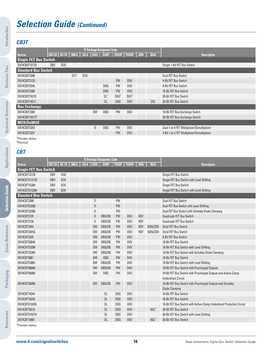# **Selection Guide (Continued)**

## **CB3T**

**Introduction**

Introduction

**Decision Tree**

**Decision Tree** 

**Technical Overview**

**Technical Overview** 

**Applications**

**Applications** 

**Selection Guide**

**Selection Guide** 

**Cross-Reference**

Cross-Reference

|                              |            |                  |                    |            |           | <b>TI Package Designator Code</b> |                  |                    |            |            |                                            |
|------------------------------|------------|------------------|--------------------|------------|-----------|-----------------------------------|------------------|--------------------|------------|------------|--------------------------------------------|
| <b>Device</b>                |            | $SOT-23$ $SC-70$ | SM-8   US-8   SOIC |            |           | <b>SSOP</b>                       |                  | <b>TSSOP TVSOP</b> | <b>QFN</b> | <b>BGA</b> | <b>Description</b>                         |
| <b>Single FET Bus Switch</b> |            |                  |                    |            |           |                                   |                  |                    |            |            |                                            |
| SN74CB3T1G125                | <b>DBV</b> | <b>DCK</b>       |                    |            |           |                                   |                  |                    |            |            | Single 1-Bit FET Bus Switch                |
| <b>Standard Bus Switch</b>   |            |                  |                    |            |           |                                   |                  |                    |            |            |                                            |
| SN74CB3T3306                 |            |                  | <b>DCT</b>         | <b>DCU</b> |           |                                   |                  |                    |            |            | Dual FET Bus Switch                        |
| SN74CB3T3125                 |            |                  |                    |            |           |                                   | <b>PW</b>        | DGV                |            |            | 4-Bit FET Bus Switch                       |
| SN74CB3T3245                 |            |                  |                    |            |           | DBO.                              | PW               | DGV                |            |            | 8-Bit FET Bus Switch                       |
| SN74CB3T3384                 |            |                  |                    |            |           | <b>DBQ</b>                        | <b>PW</b>        | <b>DGV</b>         |            |            | 10-Bit FET Bus Switch                      |
| SN74CB3T16210                |            |                  |                    |            |           | DL <sup>1</sup>                   | DGG <sup>1</sup> | DGV <sup>1</sup>   |            |            | 20-Bit FET Bus Switch                      |
| SN74CB3T16211                |            |                  |                    |            |           | DL                                | <b>DGG</b>       | <b>DGV</b>         |            | ZQL        | 24-Bit FET Bus Switch                      |
| <b>Bus Exchange</b>          |            |                  |                    |            |           |                                   |                  |                    |            |            |                                            |
| SN74CB3T3383                 |            |                  |                    |            | <b>DW</b> | DBQ                               | PW               | DGV                |            |            | 10-Bit FET Bus-Exchange Switch             |
| SN74CB3T16212 <sup>2</sup>   |            |                  |                    |            |           |                                   |                  |                    |            |            | 20-Bit FET Bus-Exchange Switch             |
| <b>MUX/DeMUX</b>             |            |                  |                    |            |           |                                   |                  |                    |            |            |                                            |
| SN74CB3T3253                 |            |                  |                    |            | D         | DBQ                               | PW               | DGV                |            |            | Dual 1-to-4 FET Multiplexer/Demultiplexer  |
| SN74CB3T3257                 |            |                  |                    |            |           |                                   | <b>PW</b>        | <b>DGV</b>         |            |            | 4-Bit 1-to-2 FET Multiplexer/Demultiplexer |

<sup>1</sup>Preview status. <sup>2</sup>Planned.

# **CBT**

|                              |            |            |                       |           | <b>TI Package Designator Code</b> |            |            |            |                  |                                                                       |
|------------------------------|------------|------------|-----------------------|-----------|-----------------------------------|------------|------------|------------|------------------|-----------------------------------------------------------------------|
| <b>Device</b>                |            |            | SOT-23   SC-70   SM-8 |           | US-8 SOIC SSOP TSSOP TVSOP QFN    |            |            |            | <b>BGA</b>       | <b>Description</b>                                                    |
| <b>Single FET Bus Switch</b> |            |            |                       |           |                                   |            |            |            |                  |                                                                       |
| SN74CBT1G125                 | <b>DBV</b> | <b>DCK</b> |                       |           |                                   |            |            |            |                  | Single FET Bus Switch                                                 |
| SN74CBTD1G125                | <b>DBV</b> | <b>DCK</b> |                       |           |                                   |            |            |            |                  | Single FET Bus Switch with Level Shifting                             |
| SN74CBT1G384                 | <b>DBV</b> | <b>DCK</b> |                       |           |                                   |            |            |            |                  | Single FET Bus Switch                                                 |
| SN74CBTD1G384                | <b>DBV</b> | <b>DCK</b> |                       |           |                                   |            |            |            |                  | Single FET Bus Switch with Level Shifting                             |
| <b>Standard Bus Switch</b>   |            |            |                       |           |                                   |            |            |            |                  |                                                                       |
| SN74CBT3306                  |            |            |                       | D         |                                   | <b>PW</b>  |            |            |                  | Dual FET Bus Switch                                                   |
| SN74CBTD3306                 |            |            |                       | D         |                                   | <b>PW</b>  |            |            |                  | Dual FET Bus Switch with Level Shifting                               |
| SN74CBTS3306                 |            |            |                       | D         |                                   | PW         |            |            |                  | Dual FET Bus Switch with Schottky Diode Clamping                      |
| SN74CBT3125                  |            |            |                       | D         | DB0/DB                            | <b>PW</b>  | DGV        | <b>RGY</b> |                  | Quadruple FET Bus Switch                                              |
| SN74CBT3126                  |            |            |                       | D         | DBQ/DB                            | <b>PW</b>  | DGV        | <b>RGY</b> |                  | Quadruple FET Bus Switch                                              |
| SN74CBT3244                  |            |            |                       | <b>DW</b> | DB0/DB                            | <b>PW</b>  | <b>DGV</b> | <b>RGY</b> | GQN/ZQN          | Octal FET Bus Switch                                                  |
| SN74CBT3245A                 |            |            |                       | <b>DW</b> | DBQ/DB                            | PW         | <b>DGV</b> | <b>RGY</b> | GQN/ZQN          | Octal FET Bus Switch                                                  |
| SN74CBT3345                  |            |            |                       | <b>DW</b> | DBQ/DB                            | <b>PW</b>  | <b>DGV</b> |            |                  | 8-Bit FET Bus Switch                                                  |
| SN74CBT3384A                 |            |            |                       | <b>DW</b> | DBQ/DB                            | PW         | <b>DGV</b> |            |                  | 10-Bit FET Bus Switch                                                 |
| SN74CBTD3384                 |            |            |                       | <b>DW</b> | DBQ/DB                            | PW         | <b>DGV</b> |            |                  | 10-Bit FET Bus Switch with Level Shifting                             |
| SN74CBTS3384                 |            |            |                       | <b>DW</b> | DBQ/DB                            | <b>PW</b>  | <b>DGV</b> |            |                  | 10-Bit FET Bus Switch with Schottky Diode Clamping                    |
| SN74CBT3861                  |            |            |                       | <b>DW</b> | <b>DBQ</b>                        | <b>PW</b>  | <b>DGV</b> |            |                  | 10-Bit FET Bus Switch                                                 |
| SN74CBTD3861                 |            |            |                       | <b>DW</b> | DBQ/DB                            | PW         | DGV        |            |                  | 10-Bit FET Bus Switch with Level Shifting                             |
| SN74CBT6800A                 |            |            |                       | <b>DW</b> | DBQ/DB                            | <b>PW</b>  | DGV        |            |                  | 10-Bit FET Bus Switch with Precharged Outputs                         |
| SN74CBTK6800                 |            |            |                       | <b>DW</b> | DB <sub>0</sub>                   | PW         | <b>DGV</b> |            |                  | 10-Bit FET Bus Switch with Precharged Outputs and Active-Clamp        |
|                              |            |            |                       |           |                                   |            |            |            |                  | <b>Undershoot Circuit</b>                                             |
| <b>SN74CBTS6800</b>          |            |            |                       | <b>DW</b> | DBQ/DB                            | PW         | <b>DGV</b> |            |                  | 10-Bit FET Bus Switch with Precharged Outputs and Schottky            |
|                              |            |            |                       |           |                                   |            |            |            |                  | Diode Clamping                                                        |
| SN74CBT16244                 |            |            |                       |           | <b>DL</b>                         | <b>DGG</b> | <b>DGV</b> |            |                  | 16-Bit FET Bus Switch                                                 |
| SN74CBT16245                 |            |            |                       |           | <b>DL</b>                         | <b>DGG</b> | DGV        |            |                  | 16-Bit FET Bus Switch                                                 |
| SN74CBTK16245                |            |            |                       |           | <b>DL</b>                         | DGG        | <b>DGV</b> |            |                  | 16-Bit FET Bus Switch with Active-Clamp Undershoot Protection Circuit |
| SN74CBT16210                 |            |            |                       |           | <b>DL</b>                         | <b>DGG</b> | <b>DGV</b> |            | GOL <sup>1</sup> | 20-Bit FET Bus Switch                                                 |
| SN74CBTD16210                |            |            |                       |           | <b>DL</b>                         | <b>DGG</b> | <b>DGV</b> |            |                  | 20-Bit FET Bus Switch with Level Shifting                             |
| SN74CBT16861                 |            |            |                       |           | <b>DL</b>                         | <b>DGG</b> | <b>DGV</b> |            | GOL <sup>1</sup> | 20-Bit FET Bus Switch                                                 |
| <sup>1</sup> Preview status. |            |            |                       |           |                                   |            |            |            |                  |                                                                       |

**Packaging**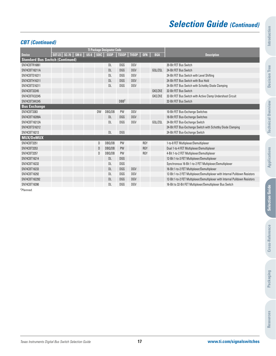# **Selection Guide (Continued)**

## **CBT (Continued)**

|                                        |                      |        |              | <b>TI Package Designator Code</b> |                  |                    |            |            |                                                                              |
|----------------------------------------|----------------------|--------|--------------|-----------------------------------|------------------|--------------------|------------|------------|------------------------------------------------------------------------------|
| <b>Device</b>                          | $ SOT-23 $ $ SC-70 $ | $SM-8$ |              | US-8 SOIC SSOP                    |                  | <b>TSSOP</b> TVSOP | <b>QFN</b> | <b>BGA</b> | <b>Description</b>                                                           |
| <b>Standard Bus Switch (Continued)</b> |                      |        |              |                                   |                  |                    |            |            |                                                                              |
| SN74CBTR16861                          |                      |        |              | DL.                               | DGG              | DGV                |            |            | 20-Bit FET Bus Switch                                                        |
| SN74CBT16211A                          |                      |        |              | <b>DL</b>                         | DGG              | <b>DGV</b>         |            | GOL/ZOL    | 24-Bit FET Bus Switch                                                        |
| SN74CBTD16211                          |                      |        |              | <b>DL</b>                         | DGG              | DGV                |            |            | 24-Bit FET Bus Switch with Level Shifting                                    |
| SN74CBTH16211                          |                      |        |              | <b>DL</b>                         | DGG              | DGV                |            |            | 24-Bit FET Bus Switch with Bus Hold                                          |
| SN74CBTS16211                          |                      |        |              | <b>DL</b>                         | <b>DGG</b>       | <b>DGV</b>         |            |            | 24-Bit FET Bus Switch with Schottky Diode Clamping                           |
| SN74CBT32245                           |                      |        |              |                                   |                  |                    |            | GKE/ZKE    | 32-Bit FET Bus Switch                                                        |
| SN74CBTK32245                          |                      |        |              |                                   |                  |                    |            | GKE/ZKE    | 32-Bit FET Bus Switch with Active Clamp Undershoot Circuit                   |
| SN74CBT34X245                          |                      |        |              |                                   | DRB <sup>2</sup> |                    |            |            | 32-Bit FET Bus Switch                                                        |
| <b>Bus Exchange</b>                    |                      |        |              |                                   |                  |                    |            |            |                                                                              |
| SN74CBT3383                            |                      |        | <b>DW</b>    | DBQ/DB                            | <b>PW</b>        | DGV                |            |            | 10-Bit FET Bus-Exchange Switches                                             |
| SN74CBT16209A                          |                      |        |              | DL                                | DGG              | DGV                |            |            | 18-Bit FET Bus-Exchange Switches                                             |
| SN74CBT16212A                          |                      |        |              | DL                                | DGG              | DGV                |            | GOL/ZOL    | 24-Bit FET Bus-Exchange Switch                                               |
| SN74CBTS16212                          |                      |        |              |                                   |                  |                    |            |            | 24-Bit FET Bus-Exchange Switch with Schottky Diode Clamping                  |
| SN74CBT16213                           |                      |        |              | DL                                | DGG              |                    |            |            | 24-Bit FET Bus-Exchange Switch                                               |
| <b>MUX/DeMUX</b>                       |                      |        |              |                                   |                  |                    |            |            |                                                                              |
| SN74CBT3251                            |                      |        | D            | DBQ/DB                            | <b>PW</b>        |                    | <b>RGY</b> |            | 1-to-8 FET Multiplexer/Demultiplexer                                         |
| SN74CBT3253                            |                      |        | $\mathsf{D}$ | DBQ/DB                            | <b>PW</b>        |                    | <b>RGY</b> |            | Dual 1-to-4 FET Multiplexer/Demultiplexer                                    |
| SN74CBT3257                            |                      |        | D            | DBQ/DB                            | <b>PW</b>        |                    | <b>RGY</b> |            | 4-Bit 1-to-2 FET Multiplexer/Demultiplexer                                   |
| SN74CBT16214                           |                      |        |              | DL.                               | DGG              |                    |            |            | 12-Bit 1-to-3 FET Multiplexer/Demultiplexer                                  |
| SN74CBT16232                           |                      |        |              | <b>DL</b>                         | DGG              |                    |            |            | Synchronous 16-Bit 1-to-2 FET Multiplexer/Demultiplexer                      |
| SN74CBT16233                           |                      |        |              | <b>DL</b>                         | DGG              | DGV                |            |            | 16-Bit 1-to-2 FET Multiplexer/Demultiplexer                                  |
| SN74CBT16292                           |                      |        |              | DL                                | DGG              | DGV                |            |            | 12-Bit 1-to-2 FET Multiplexer/Demultiplexer with Internal Pulldown Resistors |
| SN74CBT162292                          |                      |        |              | DL.                               | DGG              | DGV                |            |            | 12-Bit 1-to-2 FET Multiplexer/Demultiplexer with Internal Pulldown Resistors |
| SN74CBT16390                           |                      |        |              | DL                                | DGG              | DGV                |            |            | 16-Bit to 32-Bit FET Multiplexer/Demultiplexer Bus Switch                    |

<sup>2</sup>Planned.

**Decision Tree**

**Decision Tree**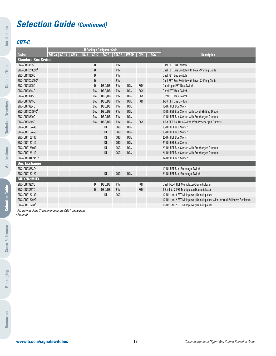# **Selection Guide (Continued)**

# **CBT-C**

**Introduction**

Introduction

**Decision Tree**

**Decision Tree** 

**Technical Overview**

**Technical Overview** 

**Applications**

Applications

**Selection Guide**

**Selection Guide** 

|                                                           |                       |  |               | <b>TI Package Designator Code</b> |                      |            |            |            |                                                                              |
|-----------------------------------------------------------|-----------------------|--|---------------|-----------------------------------|----------------------|------------|------------|------------|------------------------------------------------------------------------------|
| <b>Device</b>                                             | SOT-23   SC-70   SM-8 |  | $US-8$ $S0IC$ | <b>SSOP</b>                       | <b>TSSOP</b>   TVSOP |            | <b>QFN</b> | <b>BGA</b> | <b>Description</b>                                                           |
| <b>Standard Bus Switch</b>                                |                       |  |               |                                   |                      |            |            |            |                                                                              |
| SN74CBT3305C                                              |                       |  | D             |                                   | <b>PW</b>            |            |            |            | Dual FET Bus Switch                                                          |
| SN74CBTD3305C <sup>1</sup>                                |                       |  | D             |                                   | PW                   |            |            |            | Dual FET Bus Switch with Level-Shifting Diode                                |
| SN74CBT3306C                                              |                       |  | D             |                                   | PW                   |            |            |            | Dual FET Bus Switch                                                          |
| SN74CBTD3306C <sup>1</sup>                                |                       |  | D             |                                   | PW                   |            |            |            | Dual FET Bus Switch with Level-Shifting Diode                                |
| SN74CBT3125C                                              |                       |  | $\mathsf{D}$  | DBQ/DB                            | PW                   | DGV        | <b>RGY</b> |            | Quadruple FET Bus Switch                                                     |
| SN74CBT3244C                                              |                       |  | <b>DW</b>     | DBQ/DB                            | <b>PW</b>            | <b>DGV</b> | <b>RGY</b> |            | Octal FET Bus Switch                                                         |
| SN74CBT3245C                                              |                       |  | <b>DW</b>     | DBQ/DB                            | PW                   | <b>DGV</b> | <b>RGY</b> |            | Octal FET Bus Switch                                                         |
| SN74CBT3345C                                              |                       |  | <b>DW</b>     | DBQ/DB                            | <b>PW</b>            | <b>DGV</b> | <b>RGY</b> |            | 8-Bit FET Bus Switch                                                         |
| SN74CBT3384C                                              |                       |  | <b>DW</b>     | DBQ/DB                            | PW                   | <b>DGV</b> |            |            | 10-Bit FET Bus Switch                                                        |
| SN74CBTD3384C <sup>1</sup>                                |                       |  | <b>DW</b>     | DBQ/DB                            | <b>PW</b>            | <b>DGV</b> |            |            | 10-Bit FET Bus Switch with Level-Shifting Diode                              |
| SN74CBT6800C                                              |                       |  | <b>DW</b>     | DBQ/DB                            | PW                   | DGV        |            |            | 10-Bit FET Bus Switch with Precharged Outputs                                |
| SN74CBT6845C                                              |                       |  | <b>DW</b>     | DBQ/DB                            | <b>PW</b>            | <b>DGV</b> | <b>RGY</b> |            | 8-Bit FET 5-V Bus Switch With Precharged Outputs                             |
| SN74CBT16244C                                             |                       |  |               | DL                                | DGG                  | <b>DGV</b> |            |            | 16-Bit FET Bus Switch                                                        |
| SN74CBT16245C                                             |                       |  |               | <b>DL</b>                         | <b>DGG</b>           | <b>DGV</b> |            |            | 16-Bit FET Bus Switch                                                        |
| SN74CBT16210C                                             |                       |  |               | DL                                | <b>DGG</b>           | <b>DGV</b> |            |            | 20-Bit FET Bus Switch                                                        |
| SN74CBT16211C                                             |                       |  |               | <b>DL</b>                         | DGG                  | <b>DGV</b> |            |            | 24-Bit FET Bus Switch                                                        |
| SN74CBT16800C                                             |                       |  |               | <b>DL</b>                         | DGG                  | DGV        |            |            | 20-Bit FET Bus Switch with Precharged Outputs                                |
| SN74CBT16811C                                             |                       |  |               | <b>DL</b>                         | <b>DGG</b>           | <b>DGV</b> |            |            | 24-Bit FET Bus Switch with Precharged Outputs                                |
| SN74CBT34X245C <sup>2</sup>                               |                       |  |               |                                   |                      |            |            |            | 32-Bit FET Bus Switch                                                        |
| <b>Bus Exchange</b>                                       |                       |  |               |                                   |                      |            |            |            |                                                                              |
| SN74CBT3383C2                                             |                       |  |               |                                   |                      |            |            |            | 10-Bit FET Bus-Exchange Switch                                               |
| SN74CBT16212C                                             |                       |  |               | <b>DL</b>                         | <b>DGG</b>           | <b>DGV</b> |            |            | 24-Bit FET Bus-Exchange Switch                                               |
| MUX/DeMUX                                                 |                       |  |               |                                   |                      |            |            |            |                                                                              |
| SN74CBT3253C                                              |                       |  | D             | DBQ/DB                            | PW                   |            | <b>RGY</b> |            | Dual 1-to-4 FET Multiplexer/Demultiplexer                                    |
| SN74CBT3257C                                              |                       |  | $\mathsf{D}$  | DBQ/DB                            | PW                   |            | <b>RGY</b> |            | 4-Bit 1-to-2 FET Multiplexer/Demultiplexer                                   |
| SN74CBT16214C                                             |                       |  |               | DL                                | DGG                  |            |            |            | 12-Bit 1-to-3 FET Multiplexer/Demultiplexer                                  |
| SN74CBT16292C2                                            |                       |  |               |                                   |                      |            |            |            | 12-Bit 1-to-2 FET Multiplexer/Demultiplexer with Internal Pulldown Resistors |
| SN74CBT16233 <sup>2</sup>                                 |                       |  |               |                                   |                      |            |            |            | 16-Bit 1-to-2 FET Multiplexer/Demultiplexer                                  |
| $\mu^I$ For new designs TI recommends the CR3T equivalent |                       |  |               |                                   |                      |            |            |            |                                                                              |

<sup>1</sup>For new designs TI recommends the CB3T equivalent. <sup>2</sup>Planned.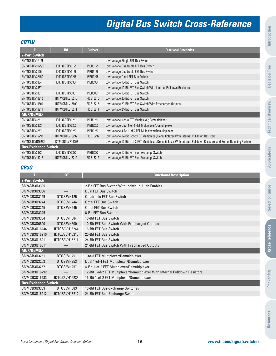# **Digital Bus Switch Cross-Reference**

### **CBTLV**

| π                          | IDT                    | <b>Pericom</b>    | <b>Functional Description</b>                                                                                         |
|----------------------------|------------------------|-------------------|-----------------------------------------------------------------------------------------------------------------------|
| <b>2-Port Switch</b>       |                        |                   |                                                                                                                       |
| SN74CBTLV1G125             |                        |                   | Low-Voltage Single FET Bus Switch                                                                                     |
| SN74CBTLV3125/R            | IDT74CBTLV3125         | PI3B3125          | Low-Voltage Quadruple FET Bus Switch                                                                                  |
| SN74CBTLV3126              | IDT74CBTLV3126         | PI3B3126          | Low-Voltage Quadruple FET Bus Switch                                                                                  |
| SN74CBTLV3245A             | IDT74CBTLV3245         | PI3B3245          | Low-Voltage Octal FET Bus Switch                                                                                      |
| SN74CBTLV3384              | IDT74CBTLV3384         | PI3B3384          | Low-Voltage 10-Bit FET Bus Switch                                                                                     |
| SN74CBTLV3857              |                        | $\qquad \qquad -$ | Low-Voltage 10-Bit FET Bus Switch With Internal Pulldown Resistors                                                    |
| SN74CBTLV3861              | IDT74CBTIV3861         | PI3B3861          | Low-Voltage 10-Bit FET Bus Switch                                                                                     |
| SN74CBTLV16210             | IDT74CBTLV16210        | PI3B16210         | Low-Voltage 20-Bit FET Bus Switch                                                                                     |
| SN74CBTLV16800             | IDT74CBTLV16800        | PI3B16215         | Low-Voltage 20-Bit FET Bus Switch With Precharged Outputs                                                             |
| SN74CBTLV16211             | <b>IDT74CBTLV16211</b> | PI3B16211         | Low-Voltage 24-Bit FET Bus Switch                                                                                     |
| <b>MUX/DeMUX</b>           |                        |                   |                                                                                                                       |
| SN74CBTLV3251              | IDT74CBTLV3251         | PI3B3251          | Low-Voltage 1-of-8 FET Multiplexer/Demultiplexer                                                                      |
| SN74CBTLV3253              | IDT74CBTLV3253         | PI3B3253          | Low-Voltage Dual 1-of-4 FET Multiplexer/Demultiplexer                                                                 |
| SN74CBTLV3257              | IDT74CBTLV3257         | PI3B3257          | Low-Voltage 4-Bit 1-of-2 FET Multiplexer/Demultiplexer                                                                |
| SN74CBTLV16292             | IDT74CBTLV16292        | PI3B16292         | Low-Voltage 12-Bit 1-of-2 FET Multiplexer/Demultiplexer With Internal Pulldown Resistors                              |
| SN74CBTLVR16292            | IDT74CBTLVR16292       |                   | Low-Voltage 12-Bit 1-of-2 FET Multiplexer/Demultiplexer With Internal Pulldown Resistors and Series Damping Resistors |
| <b>Bus-Exchange Switch</b> |                        |                   |                                                                                                                       |
| SN74CBTLV3383              | IDT74CBTLV3383         | PI3B3383          | Low-Voltage 10-Bit FET Bus-Exchange Switch                                                                            |
| SN74CBTLV16212             | IDT74CBTLV16212        | PI3B16212         | Low-Voltage 24-Bit FET Bus-Exchange Switch                                                                            |

### **CB3Q**

| п                          | <b>IDT</b>           | <b>Functional Description</b>                                                |
|----------------------------|----------------------|------------------------------------------------------------------------------|
| <b>2-Port Switch</b>       |                      |                                                                              |
| SN74CB303305               | $\qquad \qquad -$    | 2-Bit FET Bus Switch With Individual High Enables                            |
| SN74CB303306               |                      | Dual FFT Bus Switch                                                          |
| SN74CB303125               | IDTOS3VH125          | Quadruple FET Bus Switch                                                     |
| SN74CB303244               | IDTOS3VH244          | Octal FFT Bus Switch                                                         |
| SN74CB303245               | IDTOS3VH245          | Octal FFT Bus Switch                                                         |
| SN74CB303345               |                      | 8-Bit FFT Bus Switch                                                         |
| SN74CB303384               | IDTOS3VH384          | 10-Bit FFT Bus Switch                                                        |
| SN74CB306800               | IDTOS3VH800          | 10-Bit FET Bus Switch With Precharged Outputs                                |
| SN74CB3016244              | <b>IDTOS3VH16244</b> | 16-Bit FFT Bus Switch                                                        |
| SN74CB3016210              | IDT0S3VH16210        | 20-Bit FET Bus Switch                                                        |
| SN74CB3016211              | IDT0S3VH16211        | 24-Bit FET Bus Switch                                                        |
| SN74CB3016811              |                      | 24-Bit FET Bus Switch With Precharged Outputs                                |
| <b>MUX/DeMUX</b>           |                      |                                                                              |
| SN74CB303251               | IDTOS3VH251          | 1-to-8 FET Multiplexer/Demultiplexer                                         |
| SN74CB303253               | IDTOS3VH253          | Dual 1-of-4 FET Multiplexer/Demultiplexer                                    |
| SN74CB303257               | IDTOS3VH257          | 4-Bit 1-of-2 FET Multiplexer/Demultiplexer                                   |
| SN74CB3016292              |                      | 12-Bit 1-of-2 FET Multiplexer/Demultiplexer With Internal Pulldown Resistors |
| SN74CB3016233              | IDT0S3VH16233        | 16-Bit 1-of-2 FET Multiplexer/Demultiplexer                                  |
| <b>Bus-Exchange Switch</b> |                      |                                                                              |
| SN74CB303383               | IDTOS3VH383          | 10-Bit FET Bus-Exchange Switches                                             |
| SN74CB3Q16212              | <b>IDTOS3VH16212</b> | 24-Bit FET Bus-Exchange Switch                                               |
|                            |                      |                                                                              |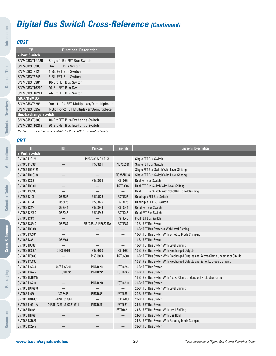## **CB3T**

**Introduction**

Introduction

**Decision Tree**

**Decision Tree** 

**Technical Overview**

**Technical Overview** 

| пl                         | <b>Functional Description</b>              |
|----------------------------|--------------------------------------------|
| <b>2-Port Switch</b>       |                                            |
| SN74CB3T1G125              | Single 1-Bit FET Bus Switch                |
| SN74CB3T3306               | Dual FET Bus Switch                        |
| SN74CB3T3125               | 4-Bit FET Bus Switch                       |
| SN74CB3T3245               | 8-Bit FET Bus Switch                       |
| SN74CB3T3384               | 10-Bit FET Bus Switch                      |
| SN74CB3T16210              | 20-Bit FET Bus Switch                      |
| SN74CB3T16211              | 24-Bit FET Bus Switch                      |
| <b>MUX/DeMUX</b>           |                                            |
| SN74CB3T3253               | Dual 1-of-4 FET Multiplexer/Demultiplexer  |
| SN74CB3T3257               | 4-Bit 1-of-2 FET Multiplexer/Demultiplexer |
| <b>Bus-Exchange Switch</b> |                                            |
| SN74CB3T3383               | 10-Bit FET Bus-Exchange Switch             |
| SN74CB3T16212              | 20-Bit FET Bus-Exchange Switch             |
|                            | $\frac{1}{2}$                              |

<sup>1</sup>No direct cross-references available for the TI CB3T Bus Switch Family

### **CBT**

| TI                  | <b>IDT</b>               | <b>Pericom</b>           | <b>Fairchild</b>         | <b>Functional Description</b>                                                     |
|---------------------|--------------------------|--------------------------|--------------------------|-----------------------------------------------------------------------------------|
| 2-Port Switch       |                          |                          |                          |                                                                                   |
| SN74CBT1G125        |                          | PI5C3302 & PI5A125       | $\overline{\phantom{0}}$ | Single FET Bus Switch                                                             |
| SN74CBT1G384        |                          | PI5C3301                 | <b>NC7SZ384</b>          | Single FET Bus Switch                                                             |
| SN74CBTD1G125       |                          |                          |                          | Single FET Bus Switch With Level Shifting                                         |
| SN74CBTD1G384       |                          |                          | NC7SZD384                | Single FET Bus Switch With Level Shifting                                         |
| SN74CBT3306         |                          | PI5C3306                 | <b>FST3306</b>           | Dual FET Bus Switch                                                               |
| SN74CBTD3306        |                          |                          | <b>FSTD3306</b>          | Dual FET Bus Switch With Level Shifting                                           |
| SN74CBTS3306        |                          | $\overline{\phantom{0}}$ | $\qquad \qquad -$        | Dual FET Bus Switch With Schottky Diode Clamping                                  |
| SN74CBT3125         | QS3125                   | PI5C3125                 | <b>FST3125</b>           | Quadruple FET Bus Switch                                                          |
| SN74CBT3126         | QS3126                   | PI5C3126                 | <b>FST3126</b>           | Quadruple FET Bus Switch                                                          |
| SN74CBT3244         | QS3244                   | PI5C3244                 | <b>FST3244</b>           | <b>Octal FET Bus Switch</b>                                                       |
| SN74CBT3245A        | QS3245                   | PI5C3245                 | <b>FST3245</b>           | Octal FET Bus Switch                                                              |
| SN74CBT3345         |                          |                          | <b>FST3345</b>           | 8-Bit FET Bus Switch                                                              |
| SN74CBT3384A        | QS3384                   | PI5C3384 & PI5C3384A     | <b>FST3384</b>           | 10-Bit FET Bus Switch                                                             |
| SN74CBTD3384        |                          |                          | $\overline{\phantom{0}}$ | 10-Bit FET Bus Switches With Level Shifting                                       |
| SN74CBTS3384        |                          |                          |                          | 10-Bit FET Bus Switch With Schottky Diode Clamping                                |
| SN74CBT3861         | QS3861                   |                          | —                        | 10-Bit FET Bus Switch                                                             |
| SN74CBTD3861        |                          |                          |                          | 10-Bit FET Bus Switch With Level Shifting                                         |
| SN74CBT6800A        | 74FST6800                | PI5C6800                 | <b>FST6800</b>           | 10-Bit FET Bus Switch With Precharged Outputs                                     |
| SN74CBTK6800        |                          | PI5C6800C                | <b>FSTU6800</b>          | 10-Bit FET Bus Switch With Precharged Outputs and Active-Clamp Undershoot Circuit |
| <b>SN74CBTS6800</b> |                          |                          | $\overline{\phantom{0}}$ | 10-Bit FET Bus Switch With Precharged Outputs and Schottky Diode Clamping         |
| SN74CBT16244        | 74FST163244              | PI5C16244                | FST16244                 | 16-Bit FET Bus Switch                                                             |
| SN74CBT16245        | <b>IDTQS316245</b>       | PI5C16245                | <b>FST16245</b>          | 16-Bit FET Bus Switch                                                             |
| SN74CBTK16245       |                          |                          |                          | 16-Bit FET Bus Switch With Active-Clamp Undershoot Protection Circuit             |
| SN74CBT16210        |                          | PI5C16210                | <b>FST16210</b>          | 20-Bit FET Bus Switch                                                             |
| SN74CBTD16210       |                          |                          | $\overline{\phantom{0}}$ | 20-Bit FET Bus Switch With Level Shifting                                         |
| SN74CBT16861        | QS32X861                 | PI5C16861                | FST16861                 | 20-Bit FET Bus Switch                                                             |
| SN74CBTR16861       | 74FST1632861             |                          | FST162861                | 20-Bit FET Bus Switch                                                             |
| SN74CBT16211A       | 74FST163211 & QS316211   | PI5C16211                | FST16211                 | 24-Bit FET Bus Switch                                                             |
| SN74CBTD16211       |                          |                          | FSTD16211                | 24-Bit FET Bus Switch With Level Shifting                                         |
| SN74CBTH16211       | $\overline{\phantom{0}}$ | $\overline{\phantom{0}}$ | $\qquad \qquad -$        | 24-Bit FET Bus Switch With Bus Hold                                               |
| SN74CBTS16211       |                          |                          |                          | 24-Bit FET Bus Switch With Schottky Diode Clamping                                |
| SN74CBT32245        |                          |                          |                          | 32-Bit FET Bus Switch                                                             |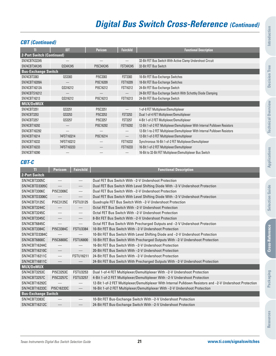## **CBT (Continued)**

| π                                | IDT                        | <b>Pericom</b> | <b>Fairchild</b>         | <b>Functional Description</b>                                                |  |
|----------------------------------|----------------------------|----------------|--------------------------|------------------------------------------------------------------------------|--|
| <b>2-Port Switch (Continued)</b> |                            |                |                          |                                                                              |  |
| SN74CBTK32245                    |                            |                |                          | 32-Bit FET Bus Switch With Active Clamp Undershoot Circuit                   |  |
| SN74CBT34X245                    | QS34X245                   | PI5C34X245     | <b>FST34X245</b>         | 32-Bit FET Bus Switch                                                        |  |
|                                  | <b>Bus-Exchange Switch</b> |                |                          |                                                                              |  |
| SN74CBT3383                      | QS3383                     | PI5C3383       | <b>FST3383</b>           | 10-Bit FET Bus-Exchange Switches                                             |  |
| SN74CBT16209A                    |                            | PI5C16209      | <b>FST16209</b>          | 18-Bit FET Bus-Exchange Switches                                             |  |
| SN74CBT16212A                    | QS316212                   | PI5C16212      | FST16212                 | 24-Bit FET Bus-Exchange Switch                                               |  |
| SN74CBTS16212                    |                            |                | $\overline{\phantom{0}}$ | 24-Bit FET Bus-Exchange Switch With Schottky Diode Clamping                  |  |
| SN74CBT16213                     | QS316212                   | PI5C16213      | FST16213                 | 24-Bit FET Bus-Exchange Switch                                               |  |
| <b>MUX/DeMUX</b>                 |                            |                |                          |                                                                              |  |
| SN74CBT3251                      | QS3251                     | PI5C3251       | $\overline{\phantom{0}}$ | 1-of-8 FET Multiplexer/Demultiplexer                                         |  |
| SN74CBT3253                      | QS3253                     | PI5C3253       | <b>FST3253</b>           | Dual 1-of-4 FET Multiplexer/Demultiplexer                                    |  |
| SN74CBT3257                      | QS3257                     | PI5C3257       | <b>FST3257</b>           | 4-Bit 1-of-2 FET Multiplexer/Demultiplexer                                   |  |
| SN74CBT16292                     |                            | PI5C16292      | <b>FST16292</b>          | 12-Bit 1-of-2 FET Multiplexer/Demultiplexer With Internal Pulldown Resistors |  |
| SN74CBT162292                    |                            |                |                          | 12-Bit 1-to-2 FET Multiplexer/Demultiplexer With Internal Pulldown Resistors |  |
| SN74CBT16214                     | 74FST163214                | PI5C16214      | $\qquad \qquad -$        | 12-Bit 1-of-3 FET Multiplexer/Demultiplexer                                  |  |
| SN74CBT16232                     | 74FST163212                |                | FST16232                 | Synchronous 16-Bit 1-of-2 FET Multiplexer/Demultiplexer                      |  |
| SN74CBT16233                     | 74FST163233                |                | FST16233                 | 16-Bit 1-of-2 FET Multiplexer/Demultiplexer                                  |  |
| SN74CBT16390                     |                            |                | $\qquad \qquad -$        | 16-Bit to 32-Bit FET Multiplexer/Demultiplexer Bus Switch                    |  |

## **CBT-C**

| $\overline{\mathbf{H}}$    | <b>Pericom</b>                  | <b>Fairchild</b>                | <b>Functional Description</b>                                                                               |
|----------------------------|---------------------------------|---------------------------------|-------------------------------------------------------------------------------------------------------------|
| 2-Port Switch              |                                 |                                 |                                                                                                             |
| SN74CBT3305C               | $\overline{\phantom{m}}$        | $\overline{\phantom{m}}$        | Dual FET Bus Switch With -2-V Undershoot Protection                                                         |
| SN74CBTD3305C              | $\overline{\phantom{m}}$        | $\hspace{0.1mm}-\hspace{0.1mm}$ | Dual FET Bus Switch With Level Shifting Diode With -2-V Undershoot Protection                               |
| SN74CBT3306C               | PI5C3306C                       | $\hspace{0.1mm}-\hspace{0.1mm}$ | Dual FFT Bus Switch With -2-V Undershoot Protection                                                         |
| SN74CBTD3306C              |                                 |                                 | Dual FET Bus Switch With Level Shifting Diode With -2-V Undershoot Protection                               |
| SN74CBT3125C               | PI5C3125C                       | <b>FSTU3125</b>                 | Quadruple FET Bus Switch With -2-V Undershoot Protection                                                    |
| SN74CBT3244C               |                                 |                                 | Octal FET Bus Switch With -2-V Undershoot Protection                                                        |
| SN74CBT3245C               | $\hspace{0.1mm}-\hspace{0.1mm}$ | $\overline{\phantom{m}}$        | Octal FFT Bus Switch With -2-V Undershoot Protection                                                        |
| SN74CBT3345C               | $\hspace{0.05cm}$               | $\hspace{0.1mm}-\hspace{0.1mm}$ | 8-Bit FET Bus Switch With -2-V Undershoot Protection                                                        |
| SN74CBT6845C               |                                 |                                 | Octal FET Bus Switch With Precharged Outputs and -2-V Undershoot Protection                                 |
| SN74CBT3384C               | PI5C3384C                       | <b>FSTU3384</b>                 | 10-Bit FET Bus Switch With -2-V Undershoot Protection                                                       |
| SN74CBTD3384C              | $\hspace{0.1mm}-\hspace{0.1mm}$ |                                 | 10-Bit FET Bus Switch With Level Shifting Diode and -2-V Undershoot Protection                              |
| SN74CBT6800C               | PI5C6800C                       | <b>FSTU6800</b>                 | 10-Bit FET Bus Switch With Precharged Outputs With -2-V Undershoot Protection                               |
| SN74CBT16244C              |                                 |                                 | 16-Bit FET Bus Switch With -2-V Undershoot Protection                                                       |
| SN74CBT16210C              | $\hspace{0.1mm}-\hspace{0.1mm}$ | $\hspace{0.1mm}-\hspace{0.1mm}$ | 20-Bit FFT Bus Switch With -2-V Undershoot Protection                                                       |
| SN74CBT16211C              | $\overline{\phantom{m}}$        | <b>FSTU16211</b>                | 24-Bit FFT Bus Switch With -2-V Undershoot Protection                                                       |
| SN74CBT16811C              | $\hspace{0.1mm}-\hspace{0.1mm}$ |                                 | 24-Bit FET Bus Switch With Precharged Outputs With -2-V Undershoot Protection                               |
| MUX/DeMUX                  |                                 |                                 |                                                                                                             |
| SN74CBT3253C               | PI5C3253C                       | <b>FSTU3253</b>                 | Dual 1-of-4 FET Multiplexer/Demultiplexer With -2-V Undershoot Protection                                   |
| SN74CBT3257C               | PI5C3257C                       | <b>FSTU3257</b>                 | 4-Bit 1-of-2 FET Multiplexer/Demultiplexer With -2-V Undershoot Protection                                  |
| SN74CBT16292C              | $\hspace{0.1mm}-\hspace{0.1mm}$ | $\overbrace{\phantom{12333}}$   | 12-Bit 1-of-2 FET Multiplexer/Demultiplexer With Internal Pulldown Resistors and -2-V Undershoot Protection |
| SN74CBT16233C              | PI5C16233C                      | $\hspace{0.1mm}-\hspace{0.1mm}$ | 16-Bit 1-of-2 FET Multiplexer/Demultiplexer With -2-V Undershoot Protection                                 |
| <b>Bus-Exchange Switch</b> |                                 |                                 |                                                                                                             |
| SN74CBT3383C               |                                 |                                 | 10-Bit FET Bus-Exchange Switch With -2-V Undershoot Protection                                              |
| SN74CBT16212C              |                                 |                                 | 24-Bit FET Bus-Exchange Switch With -2-V Undershoot Protection                                              |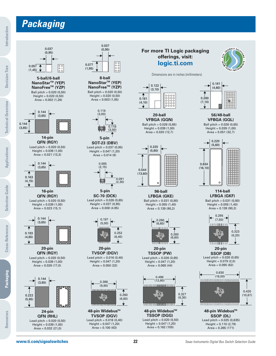# **Packaging**



(1,45)

**Introduction**

Introduction



Ball pitch = 0.020 (0,50) Height = 0.020 (0,50) **5-ball/6-ball NanoFreeTM (YZP) NanoStarTM (YEP)**



Area = 0.002 (1,26)

**14-pin QFN (RGY)**

Lead pitch =  $0.020(0,50)$  $Height = 0.039(1,00)$  $Area = 0.021(13,3)$ 



Lead pitch =  $0.020(0,50)$ Height = 0.039 (1,00) Area = 0.023 (15,1) **16-pin QFN (RGY)**



Lead pitch =  $0.020(0.50)$ **20-pin QFN (RGY)**

Height = 0.039 (1,00) Area = 0.026 (17,0)



Lead pitch =  $0.020(0.50)$ Height = 0.039 (1,00) Area = 0.032 (21,0) **QFN (RHL)**



Ball pitch = 0.020 (0,50) Height = 0.020 (0,50) Area = 0.003 (1,85) **8-ball NanoFreeTM (YZP) NanoStarTM (YEP)**



Lead pitch = 0.037 (0,95) Height = 0.047 (1,20)  $Area = 0.014(9)$ **5-pin SOT-23 (DBV)**



Lead pitch = 0.026 (0,65) Height = 0.037 (0,95)  $Area = 0.008(4.95)$ **5-pin SC-70 (DCK)**



Lead pitch =  $0.016(0,40)$  $Height = 0.047(1,20)$ Area = 0.050 (32) **20-pin TVSOP (DGV)**



Lead pitch =  $0.016(0,40)$ Height = 0.047 (1,20) Area = 0.100 (63) **48-pin Widebus TM TVSOP (DGV)**

### **For more TI Logic packaging offerings, visit: logic.ti.com**



Dimensions are in inches (millimeters)



Ball pitch = 0.026 (0,65)  $Height = 0.039(1,00)$  $Area = 0.020(12,7)$ **20-ball VFBGA (GQN)**



Ball pitch = 0.031 (0,80)  $Height = 0.055(1,40)$ Area = 0.139 (90,2) **96-ball LFBGA (GKE)**



Lead pitch =  $0.026(0.65)$ Height = 0.047 (1,20) **20-pin TSSOP (PW)**

 $Area = 0.068(44)$ 



Lead pitch =  $0.020(0,50)$ Height = 0.047 (1,20) Area = 0.162 (105) **48-pin Widebus TM TSSOP (DGG)**



Ball pitch = 0.026 (0,65) Height = 0.039 (1,00)  $Area = 0.051 (32,7)$ **56/48-ball VFBGA (GQL)**



Ball pitch = 0.031 (0,80) **114-ball LFBGA (GKF)**





Lead pitch =  $0.026(0,65)$  $Height = 0.079(2,0)$ Area = 0.095 (62) **20-pin SSOP (DB)**

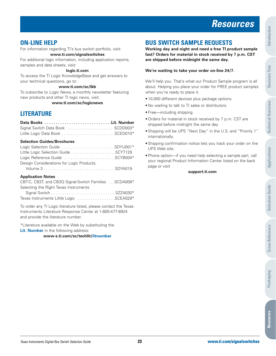# **Resources**

# **ON-LINE HELP**

For information regarding TI's bus switch portfolio, visit: **www.ti.com/signalswitches**

For additional logic information, including application reports, samples and data sheets, visit:

### **logic.ti.com**

To access the TI Logic KnowledgeBase and get answers to your technical questions, go to:

### **www.ti.com/sc/lkb**

To subscribe to Logic News, a monthly newsletter featuring new products and other TI logic news, visit:

**www.ti.com/sc/logicnews**

# **LITERATURE**

| Data Books Lit. Number |  |
|------------------------|--|
|                        |  |
|                        |  |

### **Selection Guides/Brochures**

| Logic Selection Guide SDYU001*            |  |
|-------------------------------------------|--|
| Little Logic Selection Guide SCYT129      |  |
| Logic Reference Guide SCYB004*            |  |
| Design Considerations for Logic Products. |  |
|                                           |  |
|                                           |  |

### **Application Notes**

| CBT-C, CB3T, and CB3Q Signal-Switch Families SCDA008* |  |
|-------------------------------------------------------|--|
| Selecting the Right Texas Instruments                 |  |
|                                                       |  |
| Texas Instruments Little Logic SCEA029*               |  |

To order any TI Logic literature listed, please contact the Texas Instruments Literature Response Center at 1-800-477-8924 and provide the literature number.

\*Literature available on the Web by substituting the **Lit. Number** in the following address:

**www-s.ti.com/sc/techlit/litnumber**

# **BUS SWITCH SAMPLE REQUESTS**

**Working day and night and need a free TI product sample fast? Orders for material in stock received by 7 p.m. CST are shipped before midnight the same day.**

### **We're waiting to take your order on-line 24/7.**

We'll help you. That's what our Product Sample program is all about. Helping you place your order for FREE product samples when you're ready to place it.

- 10,000 different devices plus package options.
- No waiting to talk to TI sales or distributors.
- Free—including shipping.
- Orders for material in stock received by 7 p.m. CST are shipped before midnight the same day.
- Shipping will be UPS "Next Day" in the U.S. and "Priority 1" internationally.
- Shipping confirmation notice lets you track your order on the UPS Web site.
- Phone option—if you need help selecting a sample part, call your regional Product Information Center listed on the back page or visit

#### **support.ti.com**